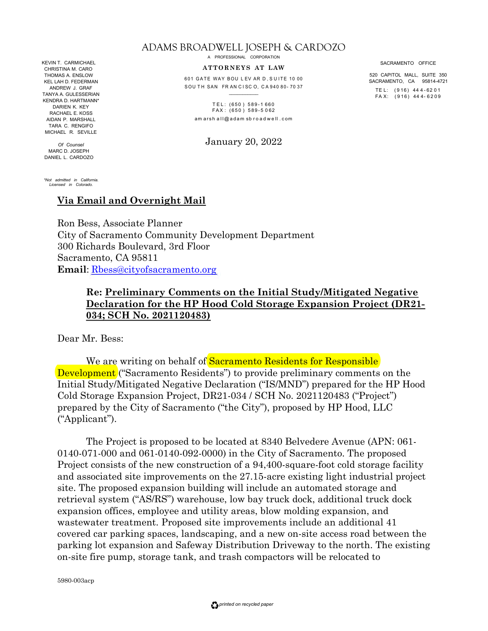KEVIN T. CARMICHAEL CHRISTINA M. CARO THOMAS A. ENSLOW KEL LAH D. FEDERMAN ANDREW J. GRAF TANYA A. GULESSERIAN KENDRA D. HARTMANN\* DARIEN K. KEY RACHAEL E. KOSS AIDAN P. MARSHALL TARA C. RENGIFO MICHAEL R. SEVILLE

*Of Counsel* MARC D. JOSEPH DANIEL L. CARDOZO

*\*Not admitted in California. Licensed in Colorado.*

#### **Via Email and Overnight Mail**

Ron Bess, Associate Planner City of Sacramento Community Development Department 300 Richards Boulevard, 3rd Floor Sacramento, CA 95811 **Email**: Rbess@cityofsacramento.org

#### **Re: Preliminary Comments on the Initial Study/Mitigated Negative Declaration for the HP Hood Cold Storage Expansion Project (DR21- 034; SCH No. 2021120483)**

Dear Mr. Bess:

We are writing on behalf of **Sacramento Residents for Responsible** Development ("Sacramento Residents") to provide preliminary comments on the Initial Study/Mitigated Negative Declaration ("IS/MND") prepared for the HP Hood Cold Storage Expansion Project, DR21-034 / SCH No. 2021120483 ("Project") prepared by the City of Sacramento ("the City"), proposed by HP Hood, LLC ("Applicant").

The Project is proposed to be located at 8340 Belvedere Avenue (APN: 061- 0140-071-000 and 061-0140-092-0000) in the City of Sacramento. The proposed Project consists of the new construction of a 94,400-square-foot cold storage facility and associated site improvements on the 27.15-acre existing light industrial project site. The proposed expansion building will include an automated storage and retrieval system ("AS/RS") warehouse, low bay truck dock, additional truck dock expansion offices, employee and utility areas, blow molding expansion, and wastewater treatment. Proposed site improvements include an additional 41 covered car parking spaces, landscaping, and a new on-site access road between the parking lot expansion and Safeway Distribution Driveway to the north. The existing on-site fire pump, storage tank, and trash compactors will be relocated to

5980-003acp

ADAMS BROADWELL JOSEPH & CARDOZO

A PROFESSIONAL CORPORATION

#### **ATTORNEYS AT LAW**

601 GATE WAY BOU L EV AR D , S U ITE 10 00 SOU TH SAN FR AN CISC O, CA 940 80-70 37  $\overline{\phantom{a}}$ 

 $TE1 : (650) 589 - 1660$ FAX: (650) 589-5062 am arsh all@adam sb roadwell.com

January 20, 2022

SACRAMENTO OFFICE

520 CAPITOL MALL, SUITE 350 SACRAMENTO, CA 95814-4721 TE L: ( 9 16) 44 4 - 62 0 1 FA X: (916) 444-6209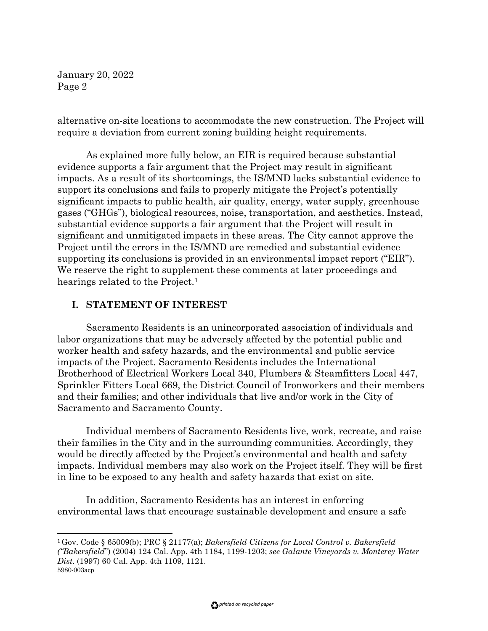alternative on-site locations to accommodate the new construction. The Project will require a deviation from current zoning building height requirements.

As explained more fully below, an EIR is required because substantial evidence supports a fair argument that the Project may result in significant impacts. As a result of its shortcomings, the IS/MND lacks substantial evidence to support its conclusions and fails to properly mitigate the Project's potentially significant impacts to public health, air quality, energy, water supply, greenhouse gases ("GHGs"), biological resources, noise, transportation, and aesthetics. Instead, substantial evidence supports a fair argument that the Project will result in significant and unmitigated impacts in these areas. The City cannot approve the Project until the errors in the IS/MND are remedied and substantial evidence supporting its conclusions is provided in an environmental impact report ("EIR"). We reserve the right to supplement these comments at later proceedings and hearings related to the Project.<sup>1</sup>

#### **I. STATEMENT OF INTEREST**

Sacramento Residents is an unincorporated association of individuals and labor organizations that may be adversely affected by the potential public and worker health and safety hazards, and the environmental and public service impacts of the Project. Sacramento Residents includes the International Brotherhood of Electrical Workers Local 340, Plumbers & Steamfitters Local 447, Sprinkler Fitters Local 669, the District Council of Ironworkers and their members and their families; and other individuals that live and/or work in the City of Sacramento and Sacramento County.

Individual members of Sacramento Residents live, work, recreate, and raise their families in the City and in the surrounding communities. Accordingly, they would be directly affected by the Project's environmental and health and safety impacts. Individual members may also work on the Project itself. They will be first in line to be exposed to any health and safety hazards that exist on site.

In addition, Sacramento Residents has an interest in enforcing environmental laws that encourage sustainable development and ensure a safe

<sup>1</sup> Gov. Code § 65009(b); PRC § 21177(a); *Bakersfield Citizens for Local Control v. Bakersfield ("Bakersfield*") (2004) 124 Cal. App. 4th 1184, 1199-1203; *see Galante Vineyards v. Monterey Water Dist*. (1997) 60 Cal. App. 4th 1109, 1121. 5980-003acp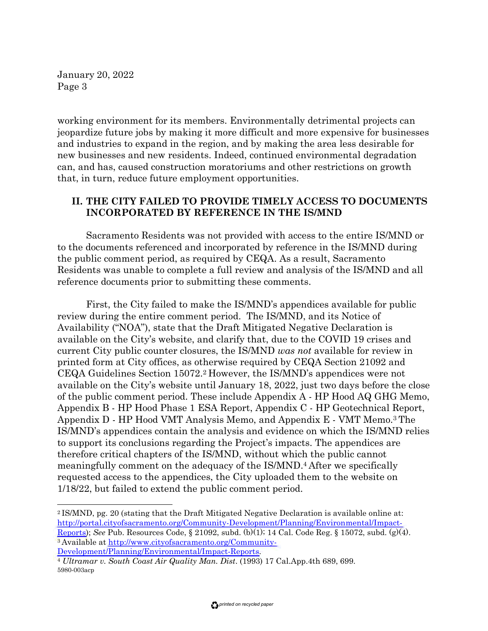working environment for its members. Environmentally detrimental projects can jeopardize future jobs by making it more difficult and more expensive for businesses and industries to expand in the region, and by making the area less desirable for new businesses and new residents. Indeed, continued environmental degradation can, and has, caused construction moratoriums and other restrictions on growth that, in turn, reduce future employment opportunities.

#### **II. THE CITY FAILED TO PROVIDE TIMELY ACCESS TO DOCUMENTS INCORPORATED BY REFERENCE IN THE IS/MND**

Sacramento Residents was not provided with access to the entire IS/MND or to the documents referenced and incorporated by reference in the IS/MND during the public comment period, as required by CEQA. As a result, Sacramento Residents was unable to complete a full review and analysis of the IS/MND and all reference documents prior to submitting these comments.

First, the City failed to make the IS/MND's appendices available for public review during the entire comment period. The IS/MND, and its Notice of Availability ("NOA"), state that the Draft Mitigated Negative Declaration is available on the City's website, and clarify that, due to the COVID 19 crises and current City public counter closures, the IS/MND *was not* available for review in printed form at City offices, as otherwise required by CEQA Section 21092 and CEQA Guidelines Section 15072.2 However, the IS/MND's appendices were not available on the City's website until January 18, 2022, just two days before the close of the public comment period. These include Appendix A - HP Hood AQ GHG Memo, Appendix B - HP Hood Phase 1 ESA Report, Appendix C - HP Geotechnical Report, Appendix D - HP Hood VMT Analysis Memo, and Appendix E - VMT Memo.3 The IS/MND's appendices contain the analysis and evidence on which the IS/MND relies to support its conclusions regarding the Project's impacts. The appendices are therefore critical chapters of the IS/MND, without which the public cannot meaningfully comment on the adequacy of the IS/MND.4 After we specifically requested access to the appendices, the City uploaded them to the website on 1/18/22, but failed to extend the public comment period.

<sup>2</sup> IS/MND, pg. 20 (stating that the Draft Mitigated Negative Declaration is available online at: http://portal.cityofsacramento.org/Community-Development/Planning/Environmental/Impact-Reports); *See* Pub. Resources Code, § 21092, subd. (b)(1); 14 Cal. Code Reg. § 15072, subd. (g)(4). 3 Available at http://www.cityofsacramento.org/Community-

Development/Planning/Environmental/Impact-Reports. 4 *Ultramar v. South Coast Air Quality Man. Dist*. (1993) <sup>17</sup> Cal.App.4th 689, 699. 5980-003acp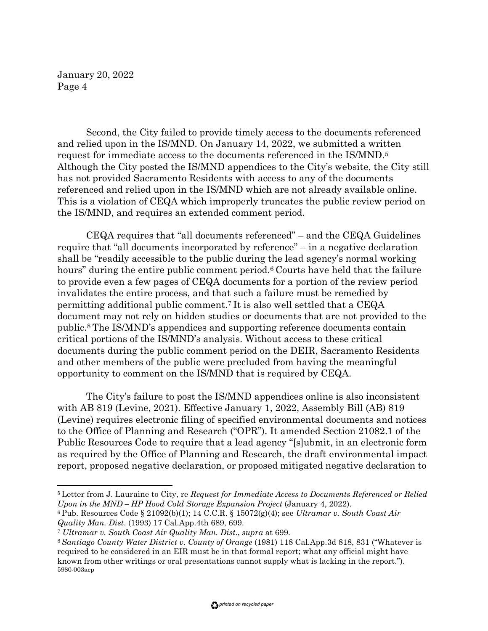Second, the City failed to provide timely access to the documents referenced and relied upon in the IS/MND. On January 14, 2022, we submitted a written request for immediate access to the documents referenced in the IS/MND.5 Although the City posted the IS/MND appendices to the City's website, the City still has not provided Sacramento Residents with access to any of the documents referenced and relied upon in the IS/MND which are not already available online. This is a violation of CEQA which improperly truncates the public review period on the IS/MND, and requires an extended comment period.

CEQA requires that "all documents referenced" – and the CEQA Guidelines require that "all documents incorporated by reference" – in a negative declaration shall be "readily accessible to the public during the lead agency's normal working hours" during the entire public comment period.<sup>6</sup> Courts have held that the failure to provide even a few pages of CEQA documents for a portion of the review period invalidates the entire process, and that such a failure must be remedied by permitting additional public comment.7 It is also well settled that a CEQA document may not rely on hidden studies or documents that are not provided to the public.8 The IS/MND's appendices and supporting reference documents contain critical portions of the IS/MND's analysis. Without access to these critical documents during the public comment period on the DEIR, Sacramento Residents and other members of the public were precluded from having the meaningful opportunity to comment on the IS/MND that is required by CEQA.

The City's failure to post the IS/MND appendices online is also inconsistent with AB 819 (Levine, 2021). Effective January 1, 2022, Assembly Bill (AB) 819 (Levine) requires electronic filing of specified environmental documents and notices to the Office of Planning and Research ("OPR"). It amended Section 21082.1 of the Public Resources Code to require that a lead agency "[s]ubmit, in an electronic form as required by the Office of Planning and Research, the draft environmental impact report, proposed negative declaration, or proposed mitigated negative declaration to

<sup>5</sup> Letter from J. Lauraine to City, re *Request for Immediate Access to Documents Referenced or Relied Upon in the MND – HP Hood Cold Storage Expansion Project* (January 4, 2022).

<sup>6</sup> Pub. Resources Code § 21092(b)(1); 14 C.C.R. § 15072(g)(4); see *Ultramar v. South Coast Air Quality Man. Dist*. (1993) 17 Cal.App.4th 689, 699.

<sup>7</sup>*Ultramar v. South Coast Air Quality Man. Dist.*, *supra* at 699.

<sup>8</sup>*Santiago County Water District v. County of Orange* (1981) 118 Cal.App.3d 818, 831 ("Whatever is required to be considered in an EIR must be in that formal report; what any official might have known from other writings or oral presentations cannot supply what is lacking in the report."). 5980-003acp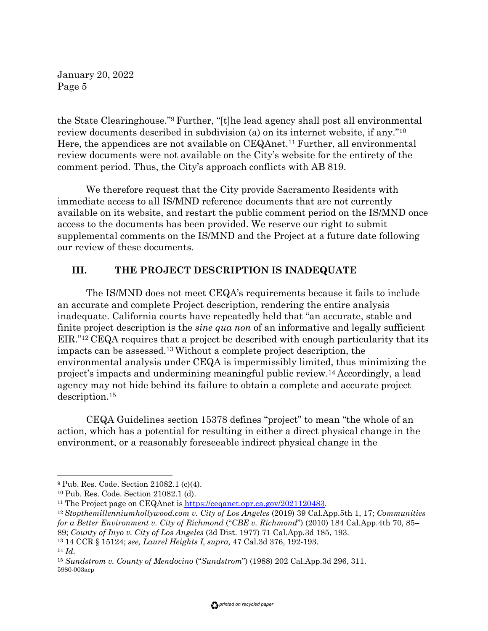the State Clearinghouse."9 Further, "[t]he lead agency shall post all environmental review documents described in subdivision (a) on its internet website, if any."10 Here, the appendices are not available on CEQAnet.<sup>11</sup> Further, all environmental review documents were not available on the City's website for the entirety of the comment period. Thus, the City's approach conflicts with AB 819.

We therefore request that the City provide Sacramento Residents with immediate access to all IS/MND reference documents that are not currently available on its website, and restart the public comment period on the IS/MND once access to the documents has been provided. We reserve our right to submit supplemental comments on the IS/MND and the Project at a future date following our review of these documents.

## **III. THE PROJECT DESCRIPTION IS INADEQUATE**

The IS/MND does not meet CEQA's requirements because it fails to include an accurate and complete Project description, rendering the entire analysis inadequate. California courts have repeatedly held that "an accurate, stable and finite project description is the *sine qua non* of an informative and legally sufficient EIR."12 CEQA requires that a project be described with enough particularity that its impacts can be assessed.13 Without a complete project description, the environmental analysis under CEQA is impermissibly limited, thus minimizing the project's impacts and undermining meaningful public review.14 Accordingly, a lead agency may not hide behind its failure to obtain a complete and accurate project description.15

CEQA Guidelines section 15378 defines "project" to mean "the whole of an action, which has a potential for resulting in either a direct physical change in the environment, or a reasonably foreseeable indirect physical change in the

<sup>9</sup> Pub. Res. Code. Section 21082.1 (c)(4).

<sup>10</sup> Pub. Res. Code. Section 21082.1 (d).

<sup>11</sup> The Project page on CEQAnet is https://ceqanet.opr.ca.gov/2021120483. 12 *Stopthemillenniumhollywood.com v. City of Los Angeles* (2019) 39 Cal.App.5th 1, 17; *Communities for a Better Environment v. City of Richmond* ("*CBE v. Richmond*") (2010) 184 Cal.App.4th 70, 85– 89; *County of Inyo v. City of Los Angeles* (3d Dist. 1977) 71 Cal.App.3d 185, 193. <sup>13</sup> 14 CCR § 15124; *see, Laurel Heights I, supra,* 47 Cal.3d 376, 192-193.

<sup>14</sup> *Id.*

<sup>15</sup> *Sundstrom v. County of Mendocino* ("*Sundstrom*") (1988) 202 Cal.App.3d 296, 311. 5980-003acp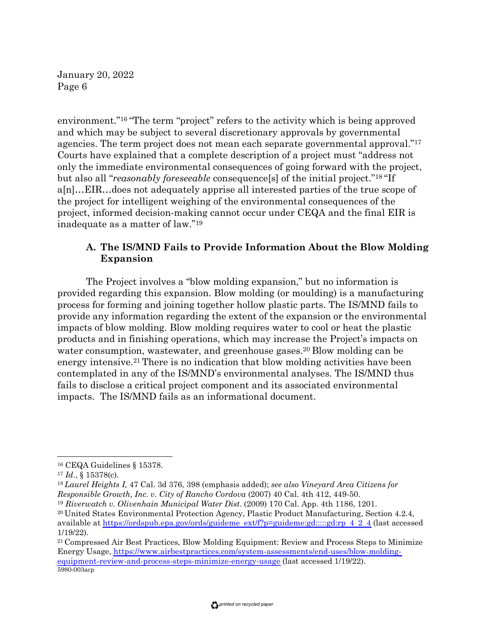environment."16 "The term "project" refers to the activity which is being approved and which may be subject to several discretionary approvals by governmental agencies. The term project does not mean each separate governmental approval."17 Courts have explained that a complete description of a project must "address not only the immediate environmental consequences of going forward with the project, but also all "*reasonably foreseeable* consequence[s] of the initial project."18 "If a[n]…EIR…does not adequately apprise all interested parties of the true scope of the project for intelligent weighing of the environmental consequences of the project, informed decision-making cannot occur under CEQA and the final EIR is inadequate as a matter of law."19

## **A. The IS/MND Fails to Provide Information About the Blow Molding Expansion**

The Project involves a "blow molding expansion," but no information is provided regarding this expansion. Blow molding (or moulding) is a manufacturing process for forming and joining together hollow plastic parts. The IS/MND fails to provide any information regarding the extent of the expansion or the environmental impacts of blow molding. Blow molding requires water to cool or heat the plastic products and in finishing operations, which may increase the Project's impacts on water consumption, wastewater, and greenhouse gases.<sup>20</sup> Blow molding can be energy intensive.21 There is no indication that blow molding activities have been contemplated in any of the IS/MND's environmental analyses. The IS/MND thus fails to disclose a critical project component and its associated environmental impacts. The IS/MND fails as an informational document.

<sup>16</sup> CEQA Guidelines § 15378.

<sup>17</sup> *Id*., § 15378(c).

<sup>18</sup>*Laurel Heights I,* 47 Cal. 3d 376, 398 (emphasis added); *see also Vineyard Area Citizens for Responsible Growth, Inc. v. City of Rancho Cordova* (2007) 40 Cal. 4th 412, 449-50.

<sup>19</sup> *Riverwatch v. Olivenhain Municipal Water Dist*. (2009) 170 Cal. App. 4th 1186, 1201.

<sup>20</sup> United States Environmental Protection Agency, Plastic Product Manufacturing, Section 4.2.4, available at https://ordspub.epa.gov/ords/guideme ext/f?p=guideme:gd:::::gd:rp 4 2 4 (last accessed 1/19/22).

<sup>21</sup> Compressed Air Best Practices, Blow Molding Equipment: Review and Process Steps to Minimize Energy Usage, https://www.airbestpractices.com/system-assessments/end-uses/blow-moldingequipment-review-and-process-steps-minimize-energy-usage (last accessed 1/19/22). 5980-003acp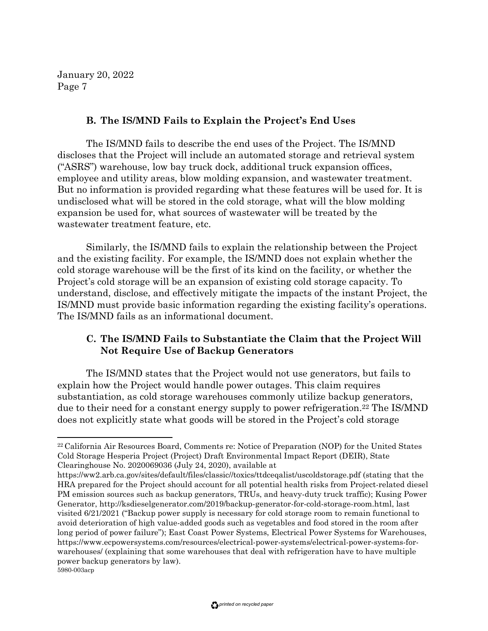#### **B. The IS/MND Fails to Explain the Project's End Uses**

The IS/MND fails to describe the end uses of the Project. The IS/MND discloses that the Project will include an automated storage and retrieval system ("ASRS") warehouse, low bay truck dock, additional truck expansion offices, employee and utility areas, blow molding expansion, and wastewater treatment. But no information is provided regarding what these features will be used for. It is undisclosed what will be stored in the cold storage, what will the blow molding expansion be used for, what sources of wastewater will be treated by the wastewater treatment feature, etc.

Similarly, the IS/MND fails to explain the relationship between the Project and the existing facility. For example, the IS/MND does not explain whether the cold storage warehouse will be the first of its kind on the facility, or whether the Project's cold storage will be an expansion of existing cold storage capacity. To understand, disclose, and effectively mitigate the impacts of the instant Project, the IS/MND must provide basic information regarding the existing facility's operations. The IS/MND fails as an informational document.

## **C. The IS/MND Fails to Substantiate the Claim that the Project Will Not Require Use of Backup Generators**

The IS/MND states that the Project would not use generators, but fails to explain how the Project would handle power outages. This claim requires substantiation, as cold storage warehouses commonly utilize backup generators, due to their need for a constant energy supply to power refrigeration.22 The IS/MND does not explicitly state what goods will be stored in the Project's cold storage

<sup>22</sup> California Air Resources Board, Comments re: Notice of Preparation (NOP) for the United States Cold Storage Hesperia Project (Project) Draft Environmental Impact Report (DEIR), State Clearinghouse No. 2020069036 (July 24, 2020), available at

https://ww2.arb.ca.gov/sites/default/files/classic//toxics/ttdceqalist/uscoldstorage.pdf (stating that the HRA prepared for the Project should account for all potential health risks from Project-related diesel PM emission sources such as backup generators, TRUs, and heavy-duty truck traffic); Kusing Power Generator, http://ksdieselgenerator.com/2019/backup-generator-for-cold-storage-room.html, last visited 6/21/2021 ("Backup power supply is necessary for cold storage room to remain functional to avoid deterioration of high value-added goods such as vegetables and food stored in the room after long period of power failure"); East Coast Power Systems, Electrical Power Systems for Warehouses, https://www.ecpowersystems.com/resources/electrical-power-systems/electrical-power-systems-forwarehouses/ (explaining that some warehouses that deal with refrigeration have to have multiple power backup generators by law). 5980-003acp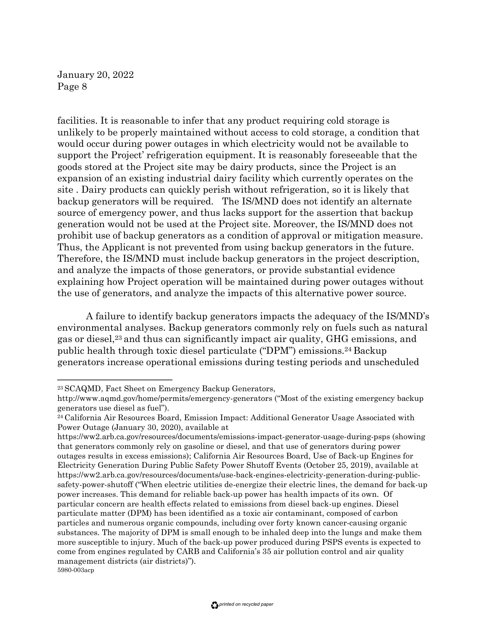facilities. It is reasonable to infer that any product requiring cold storage is unlikely to be properly maintained without access to cold storage, a condition that would occur during power outages in which electricity would not be available to support the Project' refrigeration equipment. It is reasonably foreseeable that the goods stored at the Project site may be dairy products, since the Project is an expansion of an existing industrial dairy facility which currently operates on the site . Dairy products can quickly perish without refrigeration, so it is likely that backup generators will be required. The IS/MND does not identify an alternate source of emergency power, and thus lacks support for the assertion that backup generation would not be used at the Project site. Moreover, the IS/MND does not prohibit use of backup generators as a condition of approval or mitigation measure. Thus, the Applicant is not prevented from using backup generators in the future. Therefore, the IS/MND must include backup generators in the project description, and analyze the impacts of those generators, or provide substantial evidence explaining how Project operation will be maintained during power outages without the use of generators, and analyze the impacts of this alternative power source.

A failure to identify backup generators impacts the adequacy of the IS/MND's environmental analyses. Backup generators commonly rely on fuels such as natural gas or diesel,23 and thus can significantly impact air quality, GHG emissions, and public health through toxic diesel particulate ("DPM") emissions.24 Backup generators increase operational emissions during testing periods and unscheduled

<sup>23</sup> SCAQMD, Fact Sheet on Emergency Backup Generators,

http://www.aqmd.gov/home/permits/emergency-generators ("Most of the existing emergency backup generators use diesel as fuel").

<sup>24</sup> California Air Resources Board, Emission Impact: Additional Generator Usage Associated with Power Outage (January 30, 2020), available at

https://ww2.arb.ca.gov/resources/documents/emissions-impact-generator-usage-during-psps (showing that generators commonly rely on gasoline or diesel, and that use of generators during power outages results in excess emissions); California Air Resources Board, Use of Back-up Engines for Electricity Generation During Public Safety Power Shutoff Events (October 25, 2019), available at https://ww2.arb.ca.gov/resources/documents/use-back-engines-electricity-generation-during-publicsafety-power-shutoff ("When electric utilities de-energize their electric lines, the demand for back-up power increases. This demand for reliable back-up power has health impacts of its own. Of particular concern are health effects related to emissions from diesel back-up engines. Diesel particulate matter (DPM) has been identified as a toxic air contaminant, composed of carbon particles and numerous organic compounds, including over forty known cancer-causing organic substances. The majority of DPM is small enough to be inhaled deep into the lungs and make them more susceptible to injury. Much of the back-up power produced during PSPS events is expected to come from engines regulated by CARB and California's 35 air pollution control and air quality management districts (air districts)"). 5980-003acp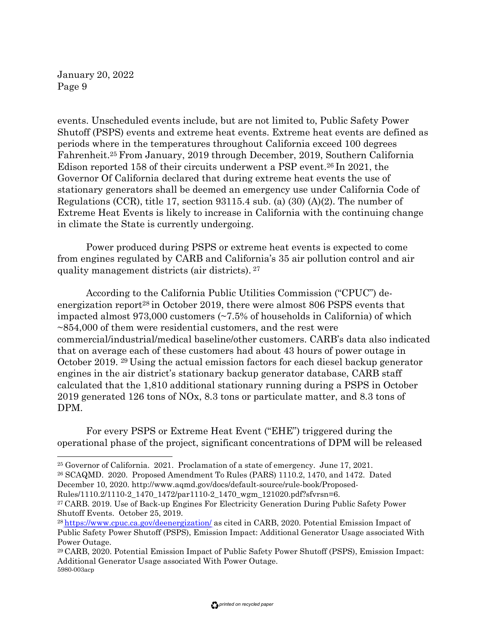events. Unscheduled events include, but are not limited to, Public Safety Power Shutoff (PSPS) events and extreme heat events. Extreme heat events are defined as periods where in the temperatures throughout California exceed 100 degrees Fahrenheit.25 From January, 2019 through December, 2019, Southern California Edison reported 158 of their circuits underwent a PSP event.26 In 2021, the Governor Of California declared that during extreme heat events the use of stationary generators shall be deemed an emergency use under California Code of Regulations (CCR), title 17, section 93115.4 sub. (a) (30) (A)(2). The number of Extreme Heat Events is likely to increase in California with the continuing change in climate the State is currently undergoing.

Power produced during PSPS or extreme heat events is expected to come from engines regulated by CARB and California's 35 air pollution control and air quality management districts (air districts). <sup>27</sup>

According to the California Public Utilities Commission ("CPUC") deenergization report<sup>28</sup> in October 2019, there were almost 806 PSPS events that impacted almost 973,000 customers (~7.5% of households in California) of which  $\sim$ 854,000 of them were residential customers, and the rest were commercial/industrial/medical baseline/other customers. CARB's data also indicated that on average each of these customers had about 43 hours of power outage in October 2019. 29 Using the actual emission factors for each diesel backup generator engines in the air district's stationary backup generator database, CARB staff calculated that the 1,810 additional stationary running during a PSPS in October 2019 generated 126 tons of NOx, 8.3 tons or particulate matter, and 8.3 tons of DPM.

For every PSPS or Extreme Heat Event ("EHE") triggered during the operational phase of the project, significant concentrations of DPM will be released

<sup>25</sup> Governor of California. 2021. Proclamation of a state of emergency. June 17, 2021. <sup>26</sup> SCAQMD. 2020. Proposed Amendment To Rules (PARS) 1110.2, 1470, and 1472. Dated December 10, 2020. http://www.aqmd.gov/docs/default-source/rule-book/Proposed-

Rules/1110.2/1110-2\_1470\_1472/par1110-2\_1470\_wgm\_121020.pdf?sfvrsn=6.

<sup>27</sup> CARB. 2019. Use of Back-up Engines For Electricity Generation During Public Safety Power Shutoff Events. October 25, 2019.

<sup>28</sup> https://www.cpuc.ca.gov/deenergization/ as cited in CARB, 2020. Potential Emission Impact of Public Safety Power Shutoff (PSPS), Emission Impact: Additional Generator Usage associated With Power Outage.

<sup>29</sup> CARB, 2020. Potential Emission Impact of Public Safety Power Shutoff (PSPS), Emission Impact: Additional Generator Usage associated With Power Outage. 5980-003acp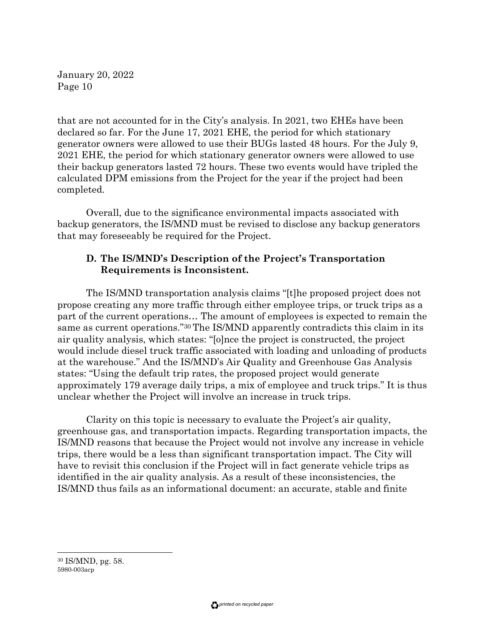that are not accounted for in the City's analysis. In 2021, two EHEs have been declared so far. For the June 17, 2021 EHE, the period for which stationary generator owners were allowed to use their BUGs lasted 48 hours. For the July 9, 2021 EHE, the period for which stationary generator owners were allowed to use their backup generators lasted 72 hours. These two events would have tripled the calculated DPM emissions from the Project for the year if the project had been completed.

Overall, due to the significance environmental impacts associated with backup generators, the IS/MND must be revised to disclose any backup generators that may foreseeably be required for the Project.

#### **D. The IS/MND's Description of the Project's Transportation Requirements is Inconsistent.**

The IS/MND transportation analysis claims "[t]he proposed project does not propose creating any more traffic through either employee trips, or truck trips as a part of the current operations… The amount of employees is expected to remain the same as current operations."30 The IS/MND apparently contradicts this claim in its air quality analysis, which states: "[o]nce the project is constructed, the project would include diesel truck traffic associated with loading and unloading of products at the warehouse." And the IS/MND's Air Quality and Greenhouse Gas Analysis states: "Using the default trip rates, the proposed project would generate approximately 179 average daily trips, a mix of employee and truck trips." It is thus unclear whether the Project will involve an increase in truck trips.

Clarity on this topic is necessary to evaluate the Project's air quality, greenhouse gas, and transportation impacts. Regarding transportation impacts, the IS/MND reasons that because the Project would not involve any increase in vehicle trips, there would be a less than significant transportation impact. The City will have to revisit this conclusion if the Project will in fact generate vehicle trips as identified in the air quality analysis. As a result of these inconsistencies, the IS/MND thus fails as an informational document: an accurate, stable and finite

<sup>30</sup> IS/MND, pg. 58. 5980-003acp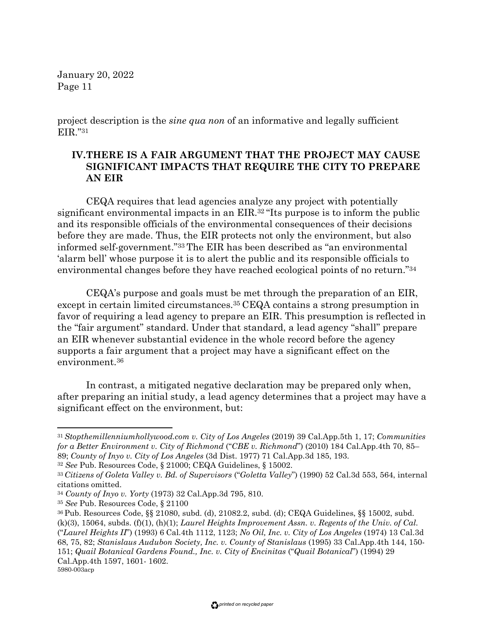project description is the *sine qua non* of an informative and legally sufficient EIR."31

## **IV.THERE IS A FAIR ARGUMENT THAT THE PROJECT MAY CAUSE SIGNIFICANT IMPACTS THAT REQUIRE THE CITY TO PREPARE AN EIR**

CEQA requires that lead agencies analyze any project with potentially significant environmental impacts in an EIR.32 "Its purpose is to inform the public and its responsible officials of the environmental consequences of their decisions before they are made. Thus, the EIR protects not only the environment, but also informed self-government."33 The EIR has been described as "an environmental 'alarm bell' whose purpose it is to alert the public and its responsible officials to environmental changes before they have reached ecological points of no return."34

CEQA's purpose and goals must be met through the preparation of an EIR, except in certain limited circumstances.35 CEQA contains a strong presumption in favor of requiring a lead agency to prepare an EIR. This presumption is reflected in the "fair argument" standard. Under that standard, a lead agency "shall" prepare an EIR whenever substantial evidence in the whole record before the agency supports a fair argument that a project may have a significant effect on the environment.36

In contrast, a mitigated negative declaration may be prepared only when, after preparing an initial study, a lead agency determines that a project may have a significant effect on the environment, but:

<sup>31</sup>*Stopthemillenniumhollywood.com v. City of Los Angeles* (2019) 39 Cal.App.5th 1, 17; *Communities for a Better Environment v. City of Richmond* ("*CBE v. Richmond*") (2010) 184 Cal.App.4th 70, 85– 89; *County of Inyo v. City of Los Angeles* (3d Dist. 1977) 71 Cal.App.3d 185, 193.

<sup>32</sup> *See* Pub. Resources Code, § 21000; CEQA Guidelines, § 15002.

<sup>33</sup>*Citizens of Goleta Valley v. Bd. of Supervisors* ("*Goletta Valley*") (1990) 52 Cal.3d 553, 564, internal citations omitted.

<sup>34</sup> *County of Inyo v. Yorty* (1973) 32 Cal.App.3d 795, 810.

<sup>35</sup> *See* Pub. Resources Code, § 21100

<sup>36</sup> Pub. Resources Code, §§ 21080, subd. (d), 21082.2, subd. (d); CEQA Guidelines, §§ 15002, subd. (k)(3), 15064, subds. (f)(1), (h)(1); *Laurel Heights Improvement Assn. v. Regents of the Univ. of Cal.* ("*Laurel Heights II*") (1993) 6 Cal.4th 1112, 1123; *No Oil, Inc. v. City of Los Angeles* (1974) 13 Cal.3d 68, 75, 82; *Stanislaus Audubon Society, Inc. v. County of Stanislaus* (1995) 33 Cal.App.4th 144, 150- 151; *Quail Botanical Gardens Found., Inc. v. City of Encinitas* ("*Quail Botanical*") (1994) 29 Cal.App.4th 1597, 1601- 1602. 5980-003acp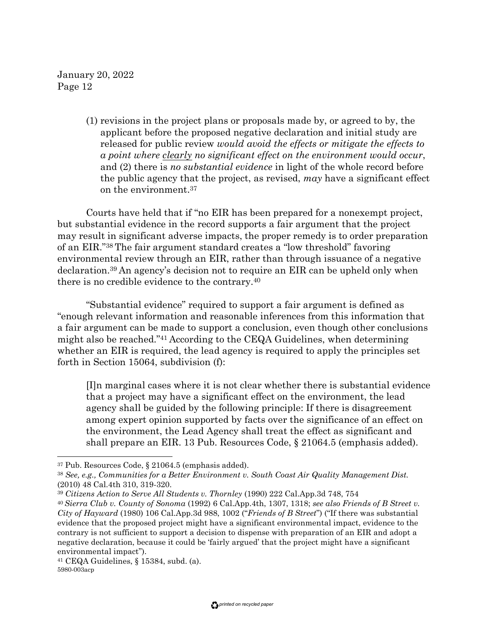> (1) revisions in the project plans or proposals made by, or agreed to by, the applicant before the proposed negative declaration and initial study are released for public review *would avoid the effects or mitigate the effects to a point where clearly no significant effect on the environment would occur*, and (2) there is *no substantial evidence* in light of the whole record before the public agency that the project, as revised, *may* have a significant effect on the environment.37

Courts have held that if "no EIR has been prepared for a nonexempt project, but substantial evidence in the record supports a fair argument that the project may result in significant adverse impacts, the proper remedy is to order preparation of an EIR."38 The fair argument standard creates a "low threshold" favoring environmental review through an EIR, rather than through issuance of a negative declaration.39 An agency's decision not to require an EIR can be upheld only when there is no credible evidence to the contrary.40

"Substantial evidence" required to support a fair argument is defined as "enough relevant information and reasonable inferences from this information that a fair argument can be made to support a conclusion, even though other conclusions might also be reached."41 According to the CEQA Guidelines, when determining whether an EIR is required, the lead agency is required to apply the principles set forth in Section 15064, subdivision (f):

[I]n marginal cases where it is not clear whether there is substantial evidence that a project may have a significant effect on the environment, the lead agency shall be guided by the following principle: If there is disagreement among expert opinion supported by facts over the significance of an effect on the environment, the Lead Agency shall treat the effect as significant and shall prepare an EIR. 13 Pub. Resources Code, § 21064.5 (emphasis added).

<sup>37</sup> Pub. Resources Code, § 21064.5 (emphasis added).

<sup>38</sup> *See, e.g., Communities for a Better Environment v. South Coast Air Quality Management Dist.* (2010) 48 Cal.4th 310, 319-320.

<sup>39</sup> *Citizens Action to Serve All Students v. Thornley* (1990) 222 Cal.App.3d 748, 754

<sup>40</sup>*Sierra Club v. County of Sonoma* (1992) 6 Cal.App.4th, 1307, 1318; *see also Friends of B Street v. City of Hayward* (1980) 106 Cal.App.3d 988, 1002 ("*Friends of B Street*") ("If there was substantial evidence that the proposed project might have a significant environmental impact, evidence to the contrary is not sufficient to support a decision to dispense with preparation of an EIR and adopt a negative declaration, because it could be 'fairly argued' that the project might have a significant environmental impact").

<sup>41</sup> CEQA Guidelines, § 15384, subd. (a). 5980-003acp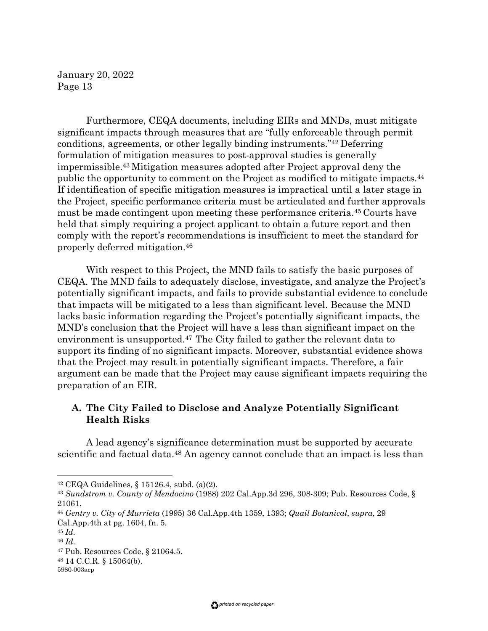Furthermore, CEQA documents, including EIRs and MNDs, must mitigate significant impacts through measures that are "fully enforceable through permit conditions, agreements, or other legally binding instruments."42 Deferring formulation of mitigation measures to post-approval studies is generally impermissible.43 Mitigation measures adopted after Project approval deny the public the opportunity to comment on the Project as modified to mitigate impacts.44 If identification of specific mitigation measures is impractical until a later stage in the Project, specific performance criteria must be articulated and further approvals must be made contingent upon meeting these performance criteria.45 Courts have held that simply requiring a project applicant to obtain a future report and then comply with the report's recommendations is insufficient to meet the standard for properly deferred mitigation.46

With respect to this Project, the MND fails to satisfy the basic purposes of CEQA. The MND fails to adequately disclose, investigate, and analyze the Project's potentially significant impacts, and fails to provide substantial evidence to conclude that impacts will be mitigated to a less than significant level. Because the MND lacks basic information regarding the Project's potentially significant impacts, the MND's conclusion that the Project will have a less than significant impact on the environment is unsupported.47 The City failed to gather the relevant data to support its finding of no significant impacts. Moreover, substantial evidence shows that the Project may result in potentially significant impacts. Therefore, a fair argument can be made that the Project may cause significant impacts requiring the preparation of an EIR.

#### **A. The City Failed to Disclose and Analyze Potentially Significant Health Risks**

A lead agency's significance determination must be supported by accurate scientific and factual data.48 An agency cannot conclude that an impact is less than

 $42$  CEQA Guidelines, § 15126.4, subd. (a)(2).

<sup>43</sup> *Sundstrom v. County of Mendocino* (1988) 202 Cal.App.3d 296, 308-309; Pub. Resources Code, § 21061.

<sup>44</sup> *Gentry v. City of Murrieta* (1995) 36 Cal.App.4th 1359, 1393; *Quail Botanical*, *supra*, 29 Cal.App.4th at pg. 1604, fn. 5.

<sup>45</sup> *Id.*

<sup>46</sup> *Id.*

<sup>47</sup> Pub. Resources Code, § 21064.5.

<sup>48</sup> 14 C.C.R. § 15064(b).

<sup>5980-003</sup>acp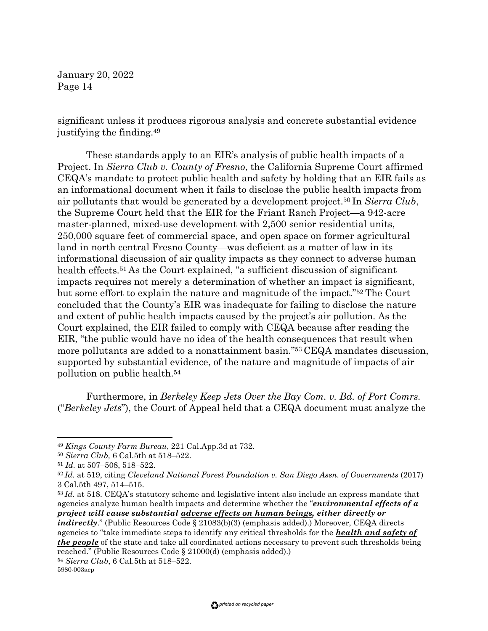significant unless it produces rigorous analysis and concrete substantial evidence justifying the finding.49

These standards apply to an EIR's analysis of public health impacts of a Project. In *Sierra Club v. County of Fresno*, the California Supreme Court affirmed CEQA's mandate to protect public health and safety by holding that an EIR fails as an informational document when it fails to disclose the public health impacts from air pollutants that would be generated by a development project.50 In *Sierra Club*, the Supreme Court held that the EIR for the Friant Ranch Project—a 942-acre master-planned, mixed-use development with 2,500 senior residential units, 250,000 square feet of commercial space, and open space on former agricultural land in north central Fresno County—was deficient as a matter of law in its informational discussion of air quality impacts as they connect to adverse human health effects.<sup>51</sup> As the Court explained, "a sufficient discussion of significant impacts requires not merely a determination of whether an impact is significant, but some effort to explain the nature and magnitude of the impact."52 The Court concluded that the County's EIR was inadequate for failing to disclose the nature and extent of public health impacts caused by the project's air pollution. As the Court explained, the EIR failed to comply with CEQA because after reading the EIR, "the public would have no idea of the health consequences that result when more pollutants are added to a nonattainment basin."53 CEQA mandates discussion, supported by substantial evidence, of the nature and magnitude of impacts of air pollution on public health.54

Furthermore, in *Berkeley Keep Jets Over the Bay Com. v. Bd. of Port Comrs.* ("*Berkeley Jets*"), the Court of Appeal held that a CEQA document must analyze the

<sup>49</sup> *Kings County Farm Bureau*, 221 Cal.App.3d at 732.

<sup>50</sup> *Sierra Club,* 6 Cal.5th at 518–522.

<sup>51</sup> *Id.* at 507–508, 518–522.

<sup>52</sup>*Id.* at 519, citing *Cleveland National Forest Foundation v. San Diego Assn. of Governments* (2017) 3 Cal.5th 497, 514–515.

<sup>53</sup>*Id.* at 518. CEQA's statutory scheme and legislative intent also include an express mandate that agencies analyze human health impacts and determine whether the "*environmental effects of a project will cause substantial adverse effects on human beings, either directly or*

*indirectly.*" (Public Resources Code § 21083(b)(3) (emphasis added).) Moreover, CEQA directs agencies to "take immediate steps to identify any critical thresholds for the *health and safety of the people* of the state and take all coordinated actions necessary to prevent such thresholds being reached." (Public Resources Code § 21000(d) (emphasis added).)

<sup>54</sup> *Sierra Club*, 6 Cal.5th at 518–522. 5980-003acp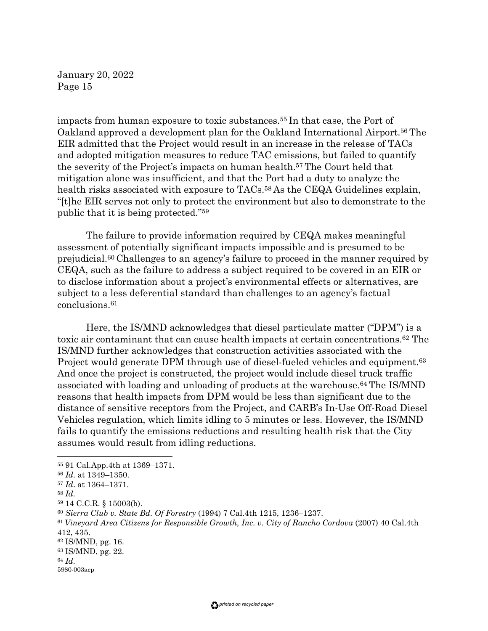impacts from human exposure to toxic substances.55 In that case, the Port of Oakland approved a development plan for the Oakland International Airport.56 The EIR admitted that the Project would result in an increase in the release of TACs and adopted mitigation measures to reduce TAC emissions, but failed to quantify the severity of the Project's impacts on human health.57 The Court held that mitigation alone was insufficient, and that the Port had a duty to analyze the health risks associated with exposure to TACs.<sup>58</sup> As the CEQA Guidelines explain, "[t]he EIR serves not only to protect the environment but also to demonstrate to the public that it is being protected."59

The failure to provide information required by CEQA makes meaningful assessment of potentially significant impacts impossible and is presumed to be prejudicial.60 Challenges to an agency's failure to proceed in the manner required by CEQA, such as the failure to address a subject required to be covered in an EIR or to disclose information about a project's environmental effects or alternatives, are subject to a less deferential standard than challenges to an agency's factual conclusions.61

Here, the IS/MND acknowledges that diesel particulate matter ("DPM") is a toxic air contaminant that can cause health impacts at certain concentrations.62 The IS/MND further acknowledges that construction activities associated with the Project would generate DPM through use of diesel-fueled vehicles and equipment.<sup>63</sup> And once the project is constructed, the project would include diesel truck traffic associated with loading and unloading of products at the warehouse.64 The IS/MND reasons that health impacts from DPM would be less than significant due to the distance of sensitive receptors from the Project, and CARB's In-Use Off-Road Diesel Vehicles regulation, which limits idling to 5 minutes or less. However, the IS/MND fails to quantify the emissions reductions and resulting health risk that the City assumes would result from idling reductions.

- <sup>58</sup> *Id.*
- <sup>59</sup> 14 C.C.R. § 15003(b).

<sup>55</sup> 91 Cal.App.4th at 1369–1371.

<sup>56</sup> *Id.* at 1349–1350.

<sup>57</sup> *Id*. at 1364–1371.

<sup>60</sup> *Sierra Club v. State Bd. Of Forestry* (1994) 7 Cal.4th 1215, 1236–1237.

<sup>61</sup>*Vineyard Area Citizens for Responsible Growth, Inc. v. City of Rancho Cordova* (2007) 40 Cal.4th 412, 435.

<sup>62</sup> IS/MND, pg. 16.

<sup>63</sup> IS/MND, pg. 22.

<sup>64</sup> *Id.*

<sup>5980-003</sup>acp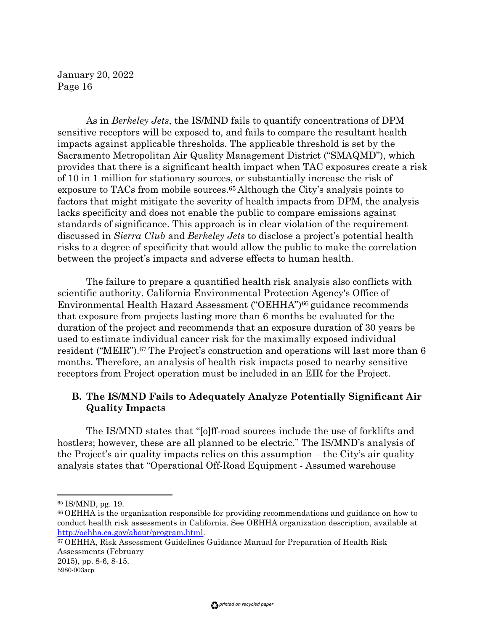As in *Berkeley Jets*, the IS/MND fails to quantify concentrations of DPM sensitive receptors will be exposed to, and fails to compare the resultant health impacts against applicable thresholds. The applicable threshold is set by the Sacramento Metropolitan Air Quality Management District ("SMAQMD"), which provides that there is a significant health impact when TAC exposures create a risk of 10 in 1 million for stationary sources, or substantially increase the risk of exposure to TACs from mobile sources.65 Although the City's analysis points to factors that might mitigate the severity of health impacts from DPM, the analysis lacks specificity and does not enable the public to compare emissions against standards of significance. This approach is in clear violation of the requirement discussed in *Sierra Club* and *Berkeley Jets* to disclose a project's potential health risks to a degree of specificity that would allow the public to make the correlation between the project's impacts and adverse effects to human health.

The failure to prepare a quantified health risk analysis also conflicts with scientific authority. California Environmental Protection Agency's Office of Environmental Health Hazard Assessment ("OEHHA")66 guidance recommends that exposure from projects lasting more than 6 months be evaluated for the duration of the project and recommends that an exposure duration of 30 years be used to estimate individual cancer risk for the maximally exposed individual resident ("MEIR").<sup>67</sup> The Project's construction and operations will last more than 6 months. Therefore, an analysis of health risk impacts posed to nearby sensitive receptors from Project operation must be included in an EIR for the Project.

#### **B. The IS/MND Fails to Adequately Analyze Potentially Significant Air Quality Impacts**

The IS/MND states that "[o]ff-road sources include the use of forklifts and hostlers; however, these are all planned to be electric." The IS/MND's analysis of the Project's air quality impacts relies on this assumption – the City's air quality analysis states that "Operational Off-Road Equipment - Assumed warehouse

<sup>65</sup> IS/MND, pg. 19.

<sup>66</sup> OEHHA is the organization responsible for providing recommendations and guidance on how to conduct health risk assessments in California. See OEHHA organization description, available at http://oehha.ca.gov/about/program.html.

<sup>67</sup> OEHHA, Risk Assessment Guidelines Guidance Manual for Preparation of Health Risk Assessments (February 2015), pp. 8-6, 8-15. 5980-003acp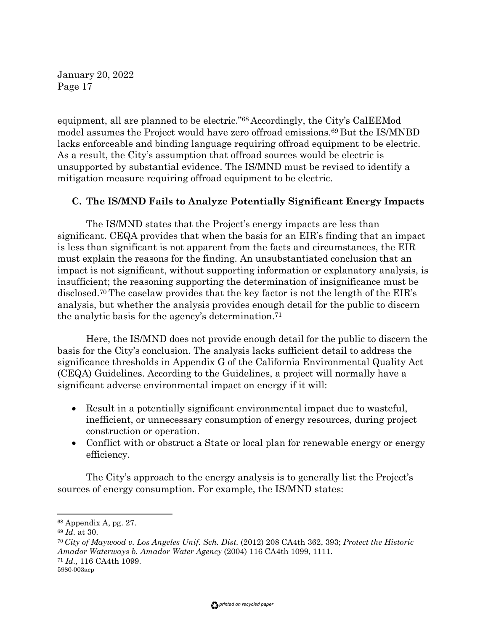equipment, all are planned to be electric."68 Accordingly, the City's CalEEMod model assumes the Project would have zero offroad emissions.69 But the IS/MNBD lacks enforceable and binding language requiring offroad equipment to be electric. As a result, the City's assumption that offroad sources would be electric is unsupported by substantial evidence. The IS/MND must be revised to identify a mitigation measure requiring offroad equipment to be electric.

# **C. The IS/MND Fails to Analyze Potentially Significant Energy Impacts**

The IS/MND states that the Project's energy impacts are less than significant. CEQA provides that when the basis for an EIR's finding that an impact is less than significant is not apparent from the facts and circumstances, the EIR must explain the reasons for the finding. An unsubstantiated conclusion that an impact is not significant, without supporting information or explanatory analysis, is insufficient; the reasoning supporting the determination of insignificance must be disclosed.70 The caselaw provides that the key factor is not the length of the EIR's analysis, but whether the analysis provides enough detail for the public to discern the analytic basis for the agency's determination.71

Here, the IS/MND does not provide enough detail for the public to discern the basis for the City's conclusion. The analysis lacks sufficient detail to address the significance thresholds in Appendix G of the California Environmental Quality Act (CEQA) Guidelines. According to the Guidelines, a project will normally have a significant adverse environmental impact on energy if it will:

- Result in a potentially significant environmental impact due to wasteful, inefficient, or unnecessary consumption of energy resources, during project construction or operation.
- Conflict with or obstruct a State or local plan for renewable energy or energy efficiency.

The City's approach to the energy analysis is to generally list the Project's sources of energy consumption. For example, the IS/MND states:

<sup>68</sup> Appendix A, pg. 27.

<sup>69</sup> *Id.* at 30.

<sup>70</sup>*City of Maywood v. Los Angeles Unif. Sch. Dist.* (2012) 208 CA4th 362, 393; *Protect the Historic Amador Waterways b. Amador Water Agency* (2004) 116 CA4th 1099, 1111. <sup>71</sup> *Id.,* 116 CA4th 1099.

<sup>5980-003</sup>acp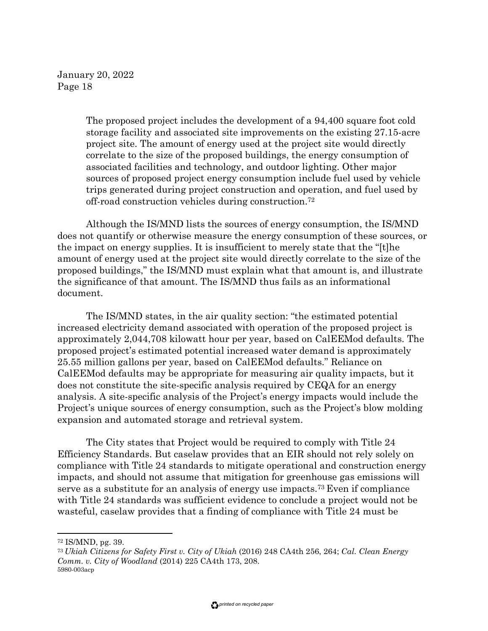> The proposed project includes the development of a 94,400 square foot cold storage facility and associated site improvements on the existing 27.15-acre project site. The amount of energy used at the project site would directly correlate to the size of the proposed buildings, the energy consumption of associated facilities and technology, and outdoor lighting. Other major sources of proposed project energy consumption include fuel used by vehicle trips generated during project construction and operation, and fuel used by off-road construction vehicles during construction.72

Although the IS/MND lists the sources of energy consumption, the IS/MND does not quantify or otherwise measure the energy consumption of these sources, or the impact on energy supplies. It is insufficient to merely state that the "[t]he amount of energy used at the project site would directly correlate to the size of the proposed buildings," the IS/MND must explain what that amount is, and illustrate the significance of that amount. The IS/MND thus fails as an informational document.

The IS/MND states, in the air quality section: "the estimated potential increased electricity demand associated with operation of the proposed project is approximately 2,044,708 kilowatt hour per year, based on CalEEMod defaults. The proposed project's estimated potential increased water demand is approximately 25.55 million gallons per year, based on CalEEMod defaults." Reliance on CalEEMod defaults may be appropriate for measuring air quality impacts, but it does not constitute the site-specific analysis required by CEQA for an energy analysis. A site-specific analysis of the Project's energy impacts would include the Project's unique sources of energy consumption, such as the Project's blow molding expansion and automated storage and retrieval system.

The City states that Project would be required to comply with Title 24 Efficiency Standards. But caselaw provides that an EIR should not rely solely on compliance with Title 24 standards to mitigate operational and construction energy impacts, and should not assume that mitigation for greenhouse gas emissions will serve as a substitute for an analysis of energy use impacts.73 Even if compliance with Title 24 standards was sufficient evidence to conclude a project would not be wasteful, caselaw provides that a finding of compliance with Title 24 must be

<sup>72</sup> IS/MND, pg. 39.

<sup>73</sup>*Ukiah Citizens for Safety First v. City of Ukiah* (2016) 248 CA4th 256, 264; *Cal. Clean Energy Comm. v. City of Woodland* (2014) 225 CA4th 173, 208. 5980-003acp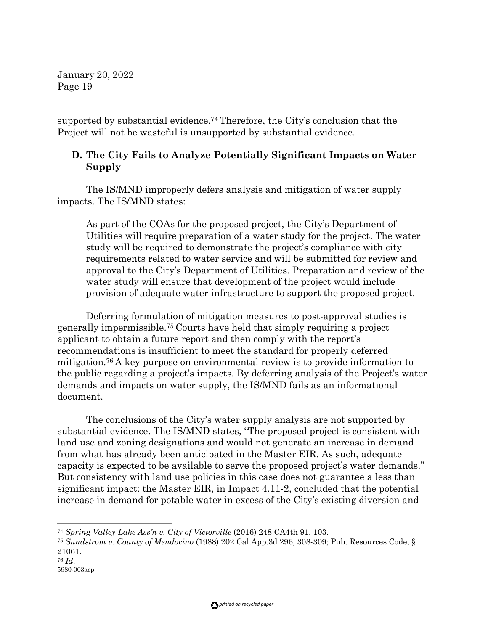supported by substantial evidence.74 Therefore, the City's conclusion that the Project will not be wasteful is unsupported by substantial evidence.

## **D. The City Fails to Analyze Potentially Significant Impacts on Water Supply**

The IS/MND improperly defers analysis and mitigation of water supply impacts. The IS/MND states:

As part of the COAs for the proposed project, the City's Department of Utilities will require preparation of a water study for the project. The water study will be required to demonstrate the project's compliance with city requirements related to water service and will be submitted for review and approval to the City's Department of Utilities. Preparation and review of the water study will ensure that development of the project would include provision of adequate water infrastructure to support the proposed project.

Deferring formulation of mitigation measures to post-approval studies is generally impermissible.75 Courts have held that simply requiring a project applicant to obtain a future report and then comply with the report's recommendations is insufficient to meet the standard for properly deferred mitigation.76 A key purpose on environmental review is to provide information to the public regarding a project's impacts. By deferring analysis of the Project's water demands and impacts on water supply, the IS/MND fails as an informational document.

The conclusions of the City's water supply analysis are not supported by substantial evidence. The IS/MND states, "The proposed project is consistent with land use and zoning designations and would not generate an increase in demand from what has already been anticipated in the Master EIR. As such, adequate capacity is expected to be available to serve the proposed project's water demands." But consistency with land use policies in this case does not guarantee a less than significant impact: the Master EIR, in Impact 4.11-2, concluded that the potential increase in demand for potable water in excess of the City's existing diversion and

<sup>74</sup> *Spring Valley Lake Ass'n v. City of Victorville* (2016) 248 CA4th 91, 103.

<sup>75</sup> *Sundstrom v. County of Mendocino* (1988) 202 Cal.App.3d 296, 308-309; Pub. Resources Code, § 21061.

<sup>76</sup> *Id.* 5980-003acp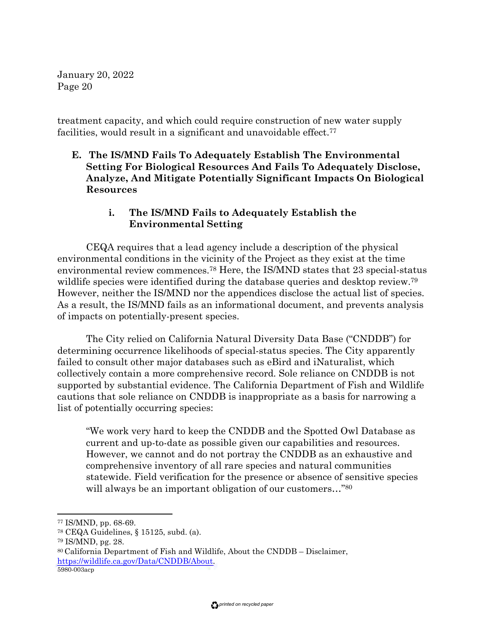treatment capacity, and which could require construction of new water supply facilities, would result in a significant and unavoidable effect.<sup>77</sup>

**E. The IS/MND Fails To Adequately Establish The Environmental Setting For Biological Resources And Fails To Adequately Disclose, Analyze, And Mitigate Potentially Significant Impacts On Biological Resources**

# **i. The IS/MND Fails to Adequately Establish the Environmental Setting**

CEQA requires that a lead agency include a description of the physical environmental conditions in the vicinity of the Project as they exist at the time environmental review commences.78 Here, the IS/MND states that 23 special-status wildlife species were identified during the database queries and desktop review.<sup>79</sup> However, neither the IS/MND nor the appendices disclose the actual list of species. As a result, the IS/MND fails as an informational document, and prevents analysis of impacts on potentially-present species.

The City relied on California Natural Diversity Data Base ("CNDDB") for determining occurrence likelihoods of special-status species. The City apparently failed to consult other major databases such as eBird and iNaturalist, which collectively contain a more comprehensive record. Sole reliance on CNDDB is not supported by substantial evidence. The California Department of Fish and Wildlife cautions that sole reliance on CNDDB is inappropriate as a basis for narrowing a list of potentially occurring species:

"We work very hard to keep the CNDDB and the Spotted Owl Database as current and up-to-date as possible given our capabilities and resources. However, we cannot and do not portray the CNDDB as an exhaustive and comprehensive inventory of all rare species and natural communities statewide. Field verification for the presence or absence of sensitive species will always be an important obligation of our customers..."<sup>80</sup>

<sup>77</sup> IS/MND, pp. 68-69.

<sup>78</sup> CEQA Guidelines, § 15125, subd. (a).

<sup>79</sup> IS/MND, pg. 28.

<sup>80</sup> California Department of Fish and Wildlife, About the CNDDB – Disclaimer, https://wildlife.ca.gov/Data/CNDDB/About. 5980-003acp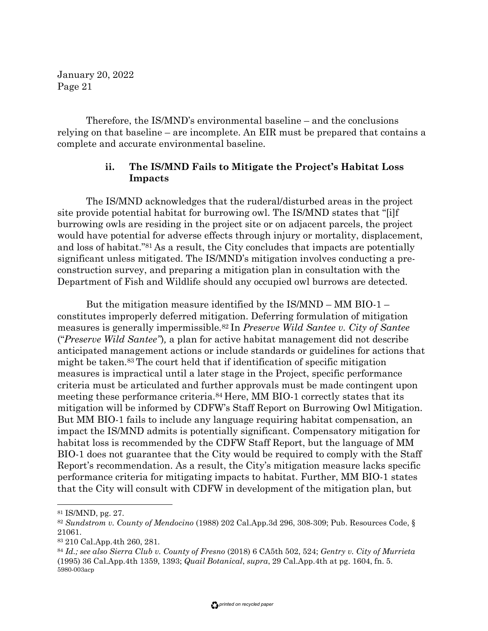Therefore, the IS/MND's environmental baseline – and the conclusions relying on that baseline – are incomplete. An EIR must be prepared that contains a complete and accurate environmental baseline.

## **ii. The IS/MND Fails to Mitigate the Project's Habitat Loss Impacts**

The IS/MND acknowledges that the ruderal/disturbed areas in the project site provide potential habitat for burrowing owl. The IS/MND states that "[i]f burrowing owls are residing in the project site or on adjacent parcels, the project would have potential for adverse effects through injury or mortality, displacement, and loss of habitat."81 As a result, the City concludes that impacts are potentially significant unless mitigated. The IS/MND's mitigation involves conducting a preconstruction survey, and preparing a mitigation plan in consultation with the Department of Fish and Wildlife should any occupied owl burrows are detected.

But the mitigation measure identified by the IS/MND – MM BIO-1 – constitutes improperly deferred mitigation. Deferring formulation of mitigation measures is generally impermissible.82 In *Preserve Wild Santee v. City of Santee* ("*Preserve Wild Santee"*)*,* a plan for active habitat management did not describe anticipated management actions or include standards or guidelines for actions that might be taken.83 The court held that if identification of specific mitigation measures is impractical until a later stage in the Project, specific performance criteria must be articulated and further approvals must be made contingent upon meeting these performance criteria.84 Here, MM BIO-1 correctly states that its mitigation will be informed by CDFW's Staff Report on Burrowing Owl Mitigation. But MM BIO-1 fails to include any language requiring habitat compensation, an impact the IS/MND admits is potentially significant. Compensatory mitigation for habitat loss is recommended by the CDFW Staff Report, but the language of MM BIO-1 does not guarantee that the City would be required to comply with the Staff Report's recommendation. As a result, the City's mitigation measure lacks specific performance criteria for mitigating impacts to habitat. Further, MM BIO-1 states that the City will consult with CDFW in development of the mitigation plan, but

<sup>81</sup> IS/MND, pg. 27.

<sup>82</sup> *Sundstrom v. County of Mendocino* (1988) 202 Cal.App.3d 296, 308-309; Pub. Resources Code, § 21061.

<sup>83</sup> 210 Cal.App.4th 260, 281.

<sup>84</sup> *Id.; see also Sierra Club v. County of Fresno* (2018) 6 CA5th 502, 524; *Gentry v. City of Murrieta* (1995) 36 Cal.App.4th 1359, 1393; *Quail Botanical*, *supra*, 29 Cal.App.4th at pg. 1604, fn. 5. 5980-003acp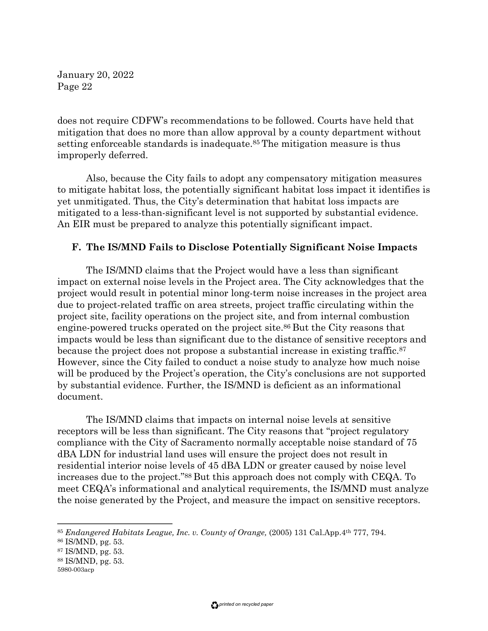does not require CDFW's recommendations to be followed. Courts have held that mitigation that does no more than allow approval by a county department without setting enforceable standards is inadequate.<sup>85</sup> The mitigation measure is thus improperly deferred.

Also, because the City fails to adopt any compensatory mitigation measures to mitigate habitat loss, the potentially significant habitat loss impact it identifies is yet unmitigated. Thus, the City's determination that habitat loss impacts are mitigated to a less-than-significant level is not supported by substantial evidence. An EIR must be prepared to analyze this potentially significant impact.

#### **F. The IS/MND Fails to Disclose Potentially Significant Noise Impacts**

The IS/MND claims that the Project would have a less than significant impact on external noise levels in the Project area. The City acknowledges that the project would result in potential minor long-term noise increases in the project area due to project-related traffic on area streets, project traffic circulating within the project site, facility operations on the project site, and from internal combustion engine-powered trucks operated on the project site.<sup>86</sup> But the City reasons that impacts would be less than significant due to the distance of sensitive receptors and because the project does not propose a substantial increase in existing traffic.87 However, since the City failed to conduct a noise study to analyze how much noise will be produced by the Project's operation, the City's conclusions are not supported by substantial evidence. Further, the IS/MND is deficient as an informational document.

The IS/MND claims that impacts on internal noise levels at sensitive receptors will be less than significant. The City reasons that "project regulatory compliance with the City of Sacramento normally acceptable noise standard of 75 dBA LDN for industrial land uses will ensure the project does not result in residential interior noise levels of 45 dBA LDN or greater caused by noise level increases due to the project."88 But this approach does not comply with CEQA. To meet CEQA's informational and analytical requirements, the IS/MND must analyze the noise generated by the Project, and measure the impact on sensitive receptors.

<sup>85</sup> *Endangered Habitats League, Inc. v. County of Orange,* (2005) 131 Cal.App.4th 777, 794.

<sup>86</sup> IS/MND, pg. 53.

<sup>87</sup> IS/MND, pg. 53.

<sup>88</sup> IS/MND, pg. 53.

<sup>5980-003</sup>acp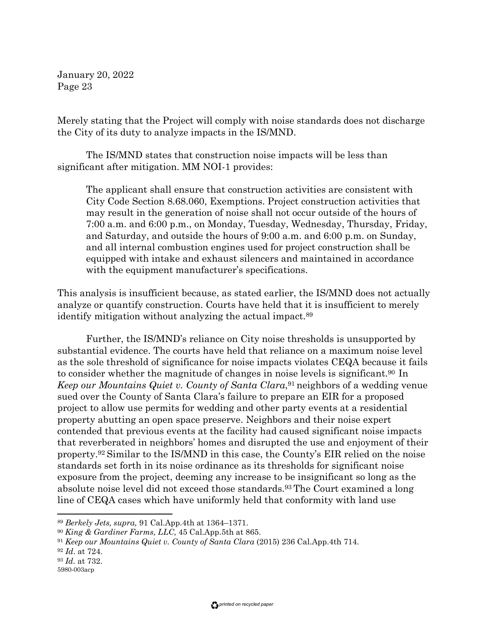Merely stating that the Project will comply with noise standards does not discharge the City of its duty to analyze impacts in the IS/MND.

The IS/MND states that construction noise impacts will be less than significant after mitigation. MM NOI-1 provides:

The applicant shall ensure that construction activities are consistent with City Code Section 8.68.060, Exemptions. Project construction activities that may result in the generation of noise shall not occur outside of the hours of 7:00 a.m. and 6:00 p.m., on Monday, Tuesday, Wednesday, Thursday, Friday, and Saturday, and outside the hours of 9:00 a.m. and 6:00 p.m. on Sunday, and all internal combustion engines used for project construction shall be equipped with intake and exhaust silencers and maintained in accordance with the equipment manufacturer's specifications.

This analysis is insufficient because, as stated earlier, the IS/MND does not actually analyze or quantify construction. Courts have held that it is insufficient to merely identify mitigation without analyzing the actual impact.89

Further, the IS/MND's reliance on City noise thresholds is unsupported by substantial evidence. The courts have held that reliance on a maximum noise level as the sole threshold of significance for noise impacts violates CEQA because it fails to consider whether the magnitude of changes in noise levels is significant.90 In *Keep our Mountains Quiet v. County of Santa Clara*,<sup>91</sup> neighbors of a wedding venue sued over the County of Santa Clara's failure to prepare an EIR for a proposed project to allow use permits for wedding and other party events at a residential property abutting an open space preserve. Neighbors and their noise expert contended that previous events at the facility had caused significant noise impacts that reverberated in neighbors' homes and disrupted the use and enjoyment of their property.92 Similar to the IS/MND in this case, the County's EIR relied on the noise standards set forth in its noise ordinance as its thresholds for significant noise exposure from the project, deeming any increase to be insignificant so long as the absolute noise level did not exceed those standards.93 The Court examined a long line of CEQA cases which have uniformly held that conformity with land use

<sup>89</sup> *Berkely Jets, supra,* 91 Cal.App.4th at 1364–1371.

<sup>90</sup> *King & Gardiner Farms, LLC,* 45 Cal.App.5th at 865.

<sup>91</sup> *Keep our Mountains Quiet v. County of Santa Clara* (2015) 236 Cal.App.4th 714.

<sup>92</sup> *Id*. at 724.

<sup>93</sup> *Id.* at 732.

<sup>5980-003</sup>acp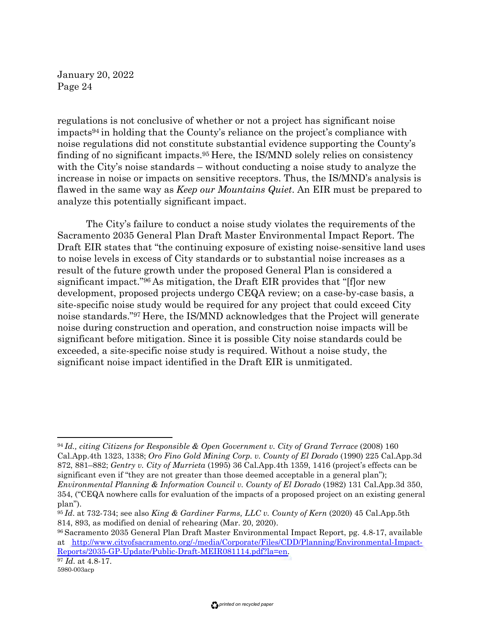regulations is not conclusive of whether or not a project has significant noise impacts94 in holding that the County's reliance on the project's compliance with noise regulations did not constitute substantial evidence supporting the County's finding of no significant impacts.95 Here, the IS/MND solely relies on consistency with the City's noise standards – without conducting a noise study to analyze the increase in noise or impacts on sensitive receptors. Thus, the IS/MND's analysis is flawed in the same way as *Keep our Mountains Quiet*. An EIR must be prepared to analyze this potentially significant impact.

The City's failure to conduct a noise study violates the requirements of the Sacramento 2035 General Plan Draft Master Environmental Impact Report. The Draft EIR states that "the continuing exposure of existing noise-sensitive land uses to noise levels in excess of City standards or to substantial noise increases as a result of the future growth under the proposed General Plan is considered a significant impact."96 As mitigation, the Draft EIR provides that "[f]or new development, proposed projects undergo CEQA review; on a case-by-case basis, a site-specific noise study would be required for any project that could exceed City noise standards."97 Here, the IS/MND acknowledges that the Project will generate noise during construction and operation, and construction noise impacts will be significant before mitigation. Since it is possible City noise standards could be exceeded, a site-specific noise study is required. Without a noise study, the significant noise impact identified in the Draft EIR is unmitigated.

<sup>&</sup>lt;sup>94</sup> Id., citing Citizens for Responsible & Open Government v. City of Grand Terrace (2008) 160 Cal.App.4th 1323, 1338; *Oro Fino Gold Mining Corp. v. County of El Dorado* (1990) 225 Cal.App.3d 872, 881–882; *Gentry v. City of Murrieta* (1995) 36 Cal.App.4th 1359, 1416 (project's effects can be significant even if "they are not greater than those deemed acceptable in a general plan");

*Environmental Planning & Information Council v. County of El Dorado* (1982) 131 Cal.App.3d 350, 354, ("CEQA nowhere calls for evaluation of the impacts of a proposed project on an existing general plan").

<sup>95</sup>*Id*. at 732-734; see also *King & Gardiner Farms, LLC v. County of Kern* (2020) 45 Cal.App.5th 814, 893, as modified on denial of rehearing (Mar. 20, 2020).

<sup>96</sup> Sacramento 2035 General Plan Draft Master Environmental Impact Report, pg. 4.8-17, available at http://www.cityofsacramento.org/-/media/Corporate/Files/CDD/Planning/Environmental-Impact-Reports/2035-GP-Update/Public-Draft-MEIR081114.pdf?la=en. 97 *Id.* at 4.8-17.

<sup>5980-003</sup>acp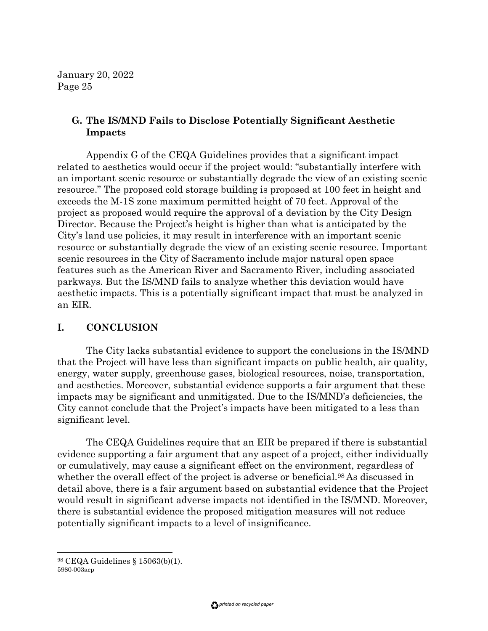## **G. The IS/MND Fails to Disclose Potentially Significant Aesthetic Impacts**

Appendix G of the CEQA Guidelines provides that a significant impact related to aesthetics would occur if the project would: "substantially interfere with an important scenic resource or substantially degrade the view of an existing scenic resource." The proposed cold storage building is proposed at 100 feet in height and exceeds the M-1S zone maximum permitted height of 70 feet. Approval of the project as proposed would require the approval of a deviation by the City Design Director. Because the Project's height is higher than what is anticipated by the City's land use policies, it may result in interference with an important scenic resource or substantially degrade the view of an existing scenic resource. Important scenic resources in the City of Sacramento include major natural open space features such as the American River and Sacramento River, including associated parkways. But the IS/MND fails to analyze whether this deviation would have aesthetic impacts. This is a potentially significant impact that must be analyzed in an EIR.

## **I. CONCLUSION**

The City lacks substantial evidence to support the conclusions in the IS/MND that the Project will have less than significant impacts on public health, air quality, energy, water supply, greenhouse gases, biological resources, noise, transportation, and aesthetics. Moreover, substantial evidence supports a fair argument that these impacts may be significant and unmitigated. Due to the IS/MND's deficiencies, the City cannot conclude that the Project's impacts have been mitigated to a less than significant level.

The CEQA Guidelines require that an EIR be prepared if there is substantial evidence supporting a fair argument that any aspect of a project, either individually or cumulatively, may cause a significant effect on the environment, regardless of whether the overall effect of the project is adverse or beneficial.<sup>98</sup> As discussed in detail above, there is a fair argument based on substantial evidence that the Project would result in significant adverse impacts not identified in the IS/MND. Moreover, there is substantial evidence the proposed mitigation measures will not reduce potentially significant impacts to a level of insignificance.

<sup>98</sup> CEQA Guidelines § 15063(b)(1). 5980-003acp